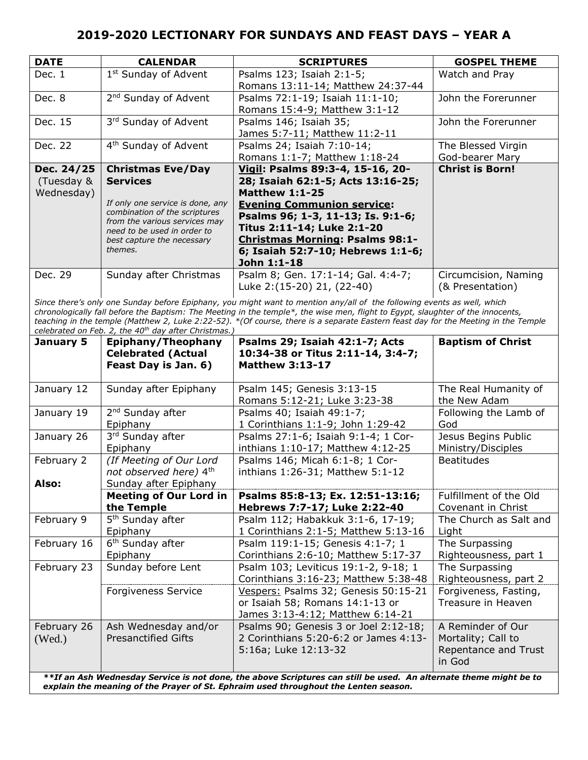| <b>DATE</b> | <b>CALENDAR</b>                                              | <b>SCRIPTURES</b>                      | <b>GOSPEL THEME</b>    |
|-------------|--------------------------------------------------------------|----------------------------------------|------------------------|
| Dec. 1      | 1 <sup>st</sup> Sunday of Advent                             | Psalms 123; Isaiah 2:1-5;              | Watch and Pray         |
|             |                                                              | Romans 13:11-14; Matthew 24:37-44      |                        |
| Dec. 8      | 2 <sup>nd</sup> Sunday of Advent                             | Psalms 72:1-19; Isaiah 11:1-10;        | John the Forerunner    |
|             |                                                              | Romans 15:4-9; Matthew 3:1-12          |                        |
| Dec. 15     | 3rd Sunday of Advent                                         | Psalms 146; Isaiah 35;                 | John the Forerunner    |
|             |                                                              | James 5:7-11; Matthew 11:2-11          |                        |
| Dec. 22     | 4 <sup>th</sup> Sunday of Advent                             | Psalms 24; Isaiah 7:10-14;             | The Blessed Virgin     |
|             |                                                              | Romans 1:1-7; Matthew 1:18-24          | God-bearer Mary        |
| Dec. 24/25  | <b>Christmas Eve/Day</b>                                     | Vigil: Psalms 89:3-4, 15-16, 20-       | <b>Christ is Born!</b> |
| (Tuesday &  | <b>Services</b>                                              | 28; Isaiah 62:1-5; Acts 13:16-25;      |                        |
| Wednesday)  |                                                              | <b>Matthew 1:1-25</b>                  |                        |
|             | If only one service is done, any                             | <b>Evening Communion service:</b>      |                        |
|             | combination of the scriptures                                | Psalms 96; 1-3, 11-13; Is. 9:1-6;      |                        |
|             | from the various services may<br>need to be used in order to | Titus 2:11-14; Luke 2:1-20             |                        |
|             | best capture the necessary                                   | <b>Christmas Morning: Psalms 98:1-</b> |                        |
|             | themes.                                                      | 6; Isaiah 52:7-10; Hebrews 1:1-6;      |                        |
|             |                                                              | John 1:1-18                            |                        |
| Dec. 29     | Sunday after Christmas                                       | Psalm 8; Gen. 17:1-14; Gal. 4:4-7;     | Circumcision, Naming   |
|             |                                                              | Luke 2: (15-20) 21, (22-40)            | (& Presentation)       |

*Since there's only one Sunday before Epiphany, you might want to mention any/all of the following events as well, which chronologically fall before the Baptism: The Meeting in the temple\*, the wise men, flight to Egypt, slaughter of the innocents, teaching in the temple (Matthew 2, Luke 2:22-52). \*(Of course, there is a separate Eastern feast day for the Meeting in the Temple celebrated on Feb. 2, the 40th day after Christmas.)*

| January 5             | Epiphany/Theophany<br><b>Celebrated (Actual</b><br>Feast Day is Jan. 6)    | Psalms 29; Isaiah 42:1-7; Acts<br>10:34-38 or Titus 2:11-14, 3:4-7;<br><b>Matthew 3:13-17</b>                                                                                                                               | <b>Baptism of Christ</b>                                                  |
|-----------------------|----------------------------------------------------------------------------|-----------------------------------------------------------------------------------------------------------------------------------------------------------------------------------------------------------------------------|---------------------------------------------------------------------------|
| January 12            | Sunday after Epiphany                                                      | Psalm 145; Genesis 3:13-15<br>Romans 5:12-21; Luke 3:23-38                                                                                                                                                                  | The Real Humanity of<br>the New Adam                                      |
| January 19            | 2 <sup>nd</sup> Sunday after<br>Epiphany                                   | Psalms 40; Isaiah 49:1-7;<br>1 Corinthians 1:1-9; John 1:29-42                                                                                                                                                              | Following the Lamb of<br>God                                              |
| January 26            | 3rd Sunday after<br>Epiphany                                               | Psalms 27:1-6; Isaiah 9:1-4; 1 Cor-<br>inthians 1:10-17; Matthew 4:12-25                                                                                                                                                    | Jesus Begins Public<br>Ministry/Disciples                                 |
| February 2<br>Also:   | (If Meeting of Our Lord<br>not observed here) 4th<br>Sunday after Epiphany | Psalms 146; Micah 6:1-8; 1 Cor-<br>inthians 1:26-31; Matthew 5:1-12                                                                                                                                                         | <b>Beatitudes</b>                                                         |
|                       | <b>Meeting of Our Lord in</b><br>the Temple                                | Psalms 85:8-13; Ex. 12:51-13:16;<br>Hebrews 7:7-17; Luke 2:22-40                                                                                                                                                            | Fulfillment of the Old<br>Covenant in Christ                              |
| February 9            | 5 <sup>th</sup> Sunday after<br>Epiphany                                   | Psalm 112; Habakkuk 3:1-6, 17-19;<br>1 Corinthians 2:1-5; Matthew 5:13-16                                                                                                                                                   | The Church as Salt and<br>Light                                           |
| February 16           | 6 <sup>th</sup> Sunday after<br>Epiphany                                   | Psalm 119:1-15; Genesis 4:1-7; 1<br>Corinthians 2:6-10; Matthew 5:17-37                                                                                                                                                     | The Surpassing<br>Righteousness, part 1                                   |
| February 23           | Sunday before Lent                                                         | Psalm 103; Leviticus 19:1-2, 9-18; 1<br>Corinthians 3:16-23; Matthew 5:38-48                                                                                                                                                | The Surpassing<br>Righteousness, part 2                                   |
|                       | Forgiveness Service                                                        | Vespers: Psalms 32; Genesis 50:15-21<br>or Isaiah 58; Romans 14:1-13 or<br>James 3:13-4:12; Matthew 6:14-21                                                                                                                 | Forgiveness, Fasting,<br>Treasure in Heaven                               |
| February 26<br>(Wed.) | Ash Wednesday and/or<br><b>Presanctified Gifts</b>                         | Psalms 90; Genesis 3 or Joel 2:12-18;<br>2 Corinthians 5:20-6:2 or James 4:13-<br>5:16a; Luke 12:13-32<br>**If an Ash Wednesday Service is not done, the above Scriptures can still be used. An alternate theme might be to | A Reminder of Our<br>Mortality; Call to<br>Repentance and Trust<br>in God |

*explain the meaning of the Prayer of St. Ephraim used throughout the Lenten season.*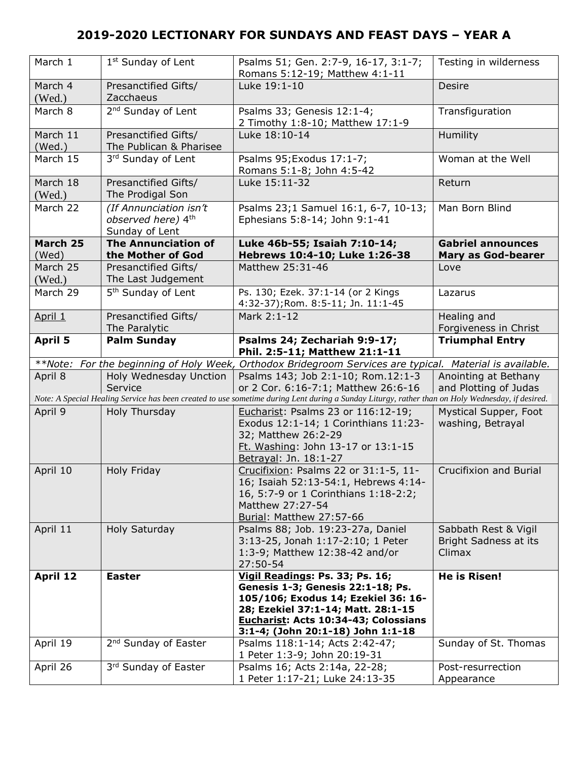| March 1            | 1 <sup>st</sup> Sunday of Lent                                 | Psalms 51; Gen. 2:7-9, 16-17, 3:1-7;<br>Romans 5:12-19; Matthew 4:1-11                                                                           | Testing in wilderness                |
|--------------------|----------------------------------------------------------------|--------------------------------------------------------------------------------------------------------------------------------------------------|--------------------------------------|
| March 4<br>(Wed.)  | Presanctified Gifts/<br>Zacchaeus                              | Luke 19:1-10                                                                                                                                     | Desire                               |
| March 8            | 2 <sup>nd</sup> Sunday of Lent                                 | Psalms 33; Genesis 12:1-4;<br>2 Timothy 1:8-10; Matthew 17:1-9                                                                                   | Transfiguration                      |
| March 11<br>(Wed.) | Presanctified Gifts/<br>The Publican & Pharisee                | Luke 18:10-14                                                                                                                                    | Humility                             |
| March 15           | 3rd Sunday of Lent                                             | Psalms 95; Exodus 17:1-7;<br>Romans 5:1-8; John 4:5-42                                                                                           | Woman at the Well                    |
| March 18<br>(Wed.) | Presanctified Gifts/<br>The Prodigal Son                       | Luke 15:11-32                                                                                                                                    | Return                               |
| March 22           | (If Annunciation isn't<br>observed here) 4th<br>Sunday of Lent | Psalms 23;1 Samuel 16:1, 6-7, 10-13;<br>Ephesians 5:8-14; John 9:1-41                                                                            | Man Born Blind                       |
| March 25           | <b>The Annunciation of</b>                                     | Luke 46b-55; Isaiah 7:10-14;                                                                                                                     | <b>Gabriel announces</b>             |
| (Wed)              | the Mother of God                                              | Hebrews 10:4-10; Luke 1:26-38                                                                                                                    | <b>Mary as God-bearer</b>            |
| March 25<br>(Wed.) | Presanctified Gifts/<br>The Last Judgement                     | Matthew 25:31-46                                                                                                                                 | Love                                 |
| March 29           | 5 <sup>th</sup> Sunday of Lent                                 | Ps. 130; Ezek. 37:1-14 (or 2 Kings<br>4:32-37); Rom. 8:5-11; Jn. 11:1-45                                                                         | Lazarus                              |
| April 1            | Presanctified Gifts/<br>The Paralytic                          | Mark 2:1-12                                                                                                                                      | Healing and<br>Forgiveness in Christ |
| <b>April 5</b>     | <b>Palm Sunday</b>                                             | Psalms 24; Zechariah 9:9-17;                                                                                                                     | <b>Triumphal Entry</b>               |
|                    |                                                                | Phil. 2:5-11; Matthew 21:1-11                                                                                                                    |                                      |
| **Note:            |                                                                | For the beginning of Holy Week, Orthodox Bridegroom Services are typical. Material is available.                                                 |                                      |
| April 8            | Holy Wednesday Unction                                         | Psalms 143; Job 2:1-10; Rom.12:1-3                                                                                                               | Anointing at Bethany                 |
|                    | Service                                                        | or 2 Cor. 6:16-7:1; Matthew 26:6-16                                                                                                              | and Plotting of Judas                |
|                    |                                                                | Note: A Special Healing Service has been created to use sometime during Lent during a Sunday Liturgy, rather than on Holy Wednesday, if desired. |                                      |
|                    |                                                                |                                                                                                                                                  |                                      |
| April 9            | Holy Thursday                                                  | Eucharist: Psalms 23 or 116:12-19;                                                                                                               | Mystical Supper, Foot                |
|                    |                                                                | Exodus 12:1-14; 1 Corinthians 11:23-                                                                                                             | washing, Betrayal                    |
|                    |                                                                | 32; Matthew 26:2-29                                                                                                                              |                                      |
|                    |                                                                | Ft. Washing: John 13-17 or 13:1-15                                                                                                               |                                      |
|                    |                                                                | Betrayal: Jn. 18:1-27                                                                                                                            |                                      |
| April 10           | Holy Friday                                                    | Crucifixion: Psalms 22 or 31:1-5, 11-                                                                                                            | Crucifixion and Burial               |
|                    |                                                                |                                                                                                                                                  |                                      |
|                    |                                                                | 16; Isaiah 52:13-54:1, Hebrews 4:14-                                                                                                             |                                      |
|                    |                                                                | 16, 5:7-9 or 1 Corinthians 1:18-2:2;                                                                                                             |                                      |
|                    |                                                                | Matthew 27:27-54                                                                                                                                 |                                      |
|                    |                                                                | Burial: Matthew 27:57-66                                                                                                                         |                                      |
| April 11           | Holy Saturday                                                  | Psalms 88; Job. 19:23-27a, Daniel                                                                                                                | Sabbath Rest & Vigil                 |
|                    |                                                                | 3:13-25, Jonah 1:17-2:10; 1 Peter                                                                                                                | Bright Sadness at its                |
|                    |                                                                | 1:3-9; Matthew 12:38-42 and/or                                                                                                                   | Climax                               |
|                    |                                                                | 27:50-54                                                                                                                                         |                                      |
| <b>April 12</b>    | <b>Easter</b>                                                  | Vigil Readings: Ps. 33; Ps. 16;                                                                                                                  | <b>He is Risen!</b>                  |
|                    |                                                                | Genesis 1-3; Genesis 22:1-18; Ps.                                                                                                                |                                      |
|                    |                                                                | 105/106; Exodus 14; Ezekiel 36: 16-                                                                                                              |                                      |
|                    |                                                                | 28; Ezekiel 37:1-14; Matt. 28:1-15                                                                                                               |                                      |
|                    |                                                                | Eucharist: Acts 10:34-43; Colossians                                                                                                             |                                      |
|                    |                                                                | 3:1-4; (John 20:1-18) John 1:1-18                                                                                                                |                                      |
| April 19           | 2 <sup>nd</sup> Sunday of Easter                               | Psalms 118:1-14; Acts 2:42-47;                                                                                                                   | Sunday of St. Thomas                 |
|                    |                                                                | 1 Peter 1:3-9; John 20:19-31                                                                                                                     |                                      |
| April 26           | 3rd Sunday of Easter                                           | Psalms 16; Acts 2:14a, 22-28;                                                                                                                    | Post-resurrection                    |
|                    |                                                                | 1 Peter 1:17-21; Luke 24:13-35                                                                                                                   | Appearance                           |
|                    |                                                                |                                                                                                                                                  |                                      |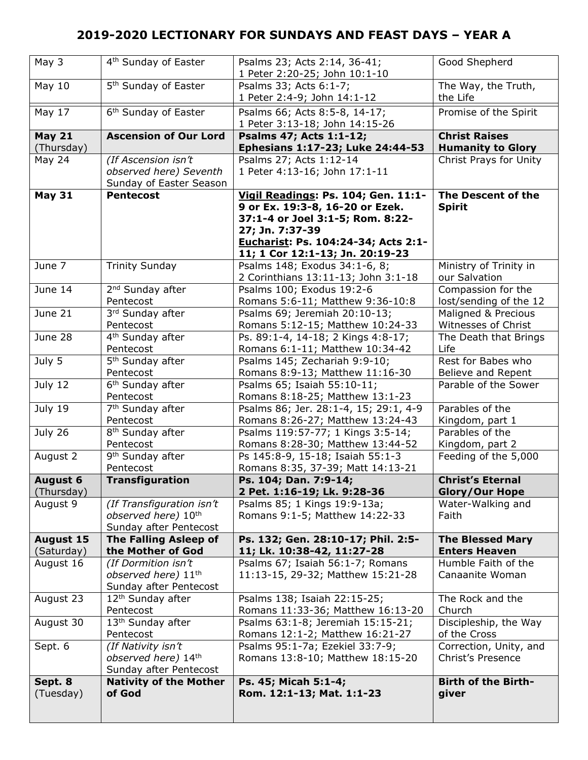| May 3            | 4 <sup>th</sup> Sunday of Easter                                                       | Psalms 23; Acts 2:14, 36-41;<br>1 Peter 2:20-25; John 10:1-10                                                                                                                                           | Good Shepherd                               |
|------------------|----------------------------------------------------------------------------------------|---------------------------------------------------------------------------------------------------------------------------------------------------------------------------------------------------------|---------------------------------------------|
| May 10           | 5 <sup>th</sup> Sunday of Easter                                                       | Psalms 33; Acts 6:1-7;<br>1 Peter 2:4-9; John 14:1-12                                                                                                                                                   | The Way, the Truth,<br>the Life             |
| May $17$         | 6 <sup>th</sup> Sunday of Easter                                                       | Psalms 66; Acts 8:5-8, 14-17;<br>1 Peter 3:13-18; John 14:15-26                                                                                                                                         | Promise of the Spirit                       |
| <b>May 21</b>    | <b>Ascension of Our Lord</b>                                                           | Psalms 47; Acts 1:1-12;                                                                                                                                                                                 | <b>Christ Raises</b>                        |
| (Thursday)       |                                                                                        | Ephesians 1:17-23; Luke 24:44-53                                                                                                                                                                        | <b>Humanity to Glory</b>                    |
| <b>May 24</b>    | (If Ascension isn't<br>observed here) Seventh<br>Sunday of Easter Season               | Psalms 27; Acts 1:12-14<br>1 Peter 4:13-16; John 17:1-11                                                                                                                                                | Christ Prays for Unity                      |
| <b>May 31</b>    | <b>Pentecost</b>                                                                       | Vigil Readings: Ps. 104; Gen. 11:1-<br>9 or Ex. 19:3-8, 16-20 or Ezek.<br>37:1-4 or Joel 3:1-5; Rom. 8:22-<br>27; Jn. 7:37-39<br>Eucharist: Ps. 104:24-34; Acts 2:1-<br>11; 1 Cor 12:1-13; Jn. 20:19-23 | The Descent of the<br><b>Spirit</b>         |
| June 7           | <b>Trinity Sunday</b>                                                                  | Psalms 148; Exodus 34:1-6, 8;<br>2 Corinthians 13:11-13; John 3:1-18                                                                                                                                    | Ministry of Trinity in<br>our Salvation     |
| June 14          | 2 <sup>nd</sup> Sunday after                                                           | Psalms 100; Exodus 19:2-6                                                                                                                                                                               | Compassion for the                          |
|                  | Pentecost                                                                              | Romans 5:6-11; Matthew 9:36-10:8                                                                                                                                                                        | lost/sending of the 12                      |
| June 21          | 3rd Sunday after                                                                       | Psalms 69; Jeremiah 20:10-13;                                                                                                                                                                           | Maligned & Precious                         |
|                  | Pentecost                                                                              | Romans 5:12-15; Matthew 10:24-33                                                                                                                                                                        | Witnesses of Christ                         |
| June 28          | 4 <sup>th</sup> Sunday after                                                           | Ps. 89:1-4, 14-18; 2 Kings 4:8-17;                                                                                                                                                                      | The Death that Brings                       |
|                  | Pentecost                                                                              | Romans 6:1-11; Matthew 10:34-42                                                                                                                                                                         | Life                                        |
| July 5           | 5 <sup>th</sup> Sunday after                                                           | Psalms 145; Zechariah 9:9-10;                                                                                                                                                                           | Rest for Babes who                          |
|                  | Pentecost                                                                              | Romans 8:9-13; Matthew 11:16-30                                                                                                                                                                         | Believe and Repent                          |
| July 12          | 6 <sup>th</sup> Sunday after<br>Pentecost                                              | Psalms 65; Isaiah 55:10-11;<br>Romans 8:18-25; Matthew 13:1-23                                                                                                                                          | Parable of the Sower                        |
| July 19          | 7 <sup>th</sup> Sunday after                                                           | Psalms 86; Jer. 28:1-4, 15; 29:1, 4-9                                                                                                                                                                   | Parables of the                             |
|                  | Pentecost                                                                              | Romans 8:26-27; Matthew 13:24-43                                                                                                                                                                        | Kingdom, part 1                             |
| July 26          | 8 <sup>th</sup> Sunday after                                                           | Psalms 119:57-77; 1 Kings 3:5-14;                                                                                                                                                                       | Parables of the                             |
|                  | Pentecost                                                                              | Romans 8:28-30; Matthew 13:44-52                                                                                                                                                                        | Kingdom, part 2                             |
| August 2         | 9 <sup>th</sup> Sunday after<br>Pentecost                                              | Ps 145:8-9, 15-18; Isaiah 55:1-3<br>Romans 8:35, 37-39; Matt 14:13-21                                                                                                                                   | Feeding of the 5,000                        |
| <b>August 6</b>  | <b>Transfiguration</b>                                                                 | Ps. 104; Dan. 7:9-14;                                                                                                                                                                                   | <b>Christ's Eternal</b>                     |
| (Thursday)       |                                                                                        | 2 Pet. 1:16-19; Lk. 9:28-36                                                                                                                                                                             | <b>Glory/Our Hope</b>                       |
| August 9         | (If Transfiguration isn't<br>observed here) 10 <sup>th</sup><br>Sunday after Pentecost | Psalms 85; 1 Kings 19:9-13a;<br>Romans 9:1-5; Matthew 14:22-33                                                                                                                                          | Water-Walking and<br>Faith                  |
| <b>August 15</b> | <b>The Falling Asleep of</b>                                                           | Ps. 132; Gen. 28:10-17; Phil. 2:5-                                                                                                                                                                      | <b>The Blessed Mary</b>                     |
| (Saturday)       | the Mother of God                                                                      | 11; Lk. 10:38-42, 11:27-28                                                                                                                                                                              | <b>Enters Heaven</b>                        |
| August 16        | (If Dormition isn't<br>observed here) 11 <sup>th</sup><br>Sunday after Pentecost       | Psalms 67; Isaiah 56:1-7; Romans<br>11:13-15, 29-32; Matthew 15:21-28                                                                                                                                   | Humble Faith of the<br>Canaanite Woman      |
| August 23        | 12 <sup>th</sup> Sunday after                                                          | Psalms 138; Isaiah 22:15-25;                                                                                                                                                                            | The Rock and the                            |
|                  | Pentecost                                                                              | Romans 11:33-36; Matthew 16:13-20                                                                                                                                                                       | Church                                      |
| August 30        | 13 <sup>th</sup> Sunday after                                                          | Psalms 63:1-8; Jeremiah 15:15-21;                                                                                                                                                                       | Discipleship, the Way                       |
|                  | Pentecost                                                                              | Romans 12:1-2; Matthew 16:21-27                                                                                                                                                                         | of the Cross                                |
| Sept. 6          | (If Nativity isn't<br>observed here) 14th<br>Sunday after Pentecost                    | Psalms 95:1-7a; Ezekiel 33:7-9;<br>Romans 13:8-10; Matthew 18:15-20                                                                                                                                     | Correction, Unity, and<br>Christ's Presence |
| Sept. 8          | <b>Nativity of the Mother</b>                                                          | Ps. 45; Micah 5:1-4;                                                                                                                                                                                    | <b>Birth of the Birth-</b>                  |
| (Tuesday)        | of God                                                                                 | Rom. 12:1-13; Mat. 1:1-23                                                                                                                                                                               | giver                                       |